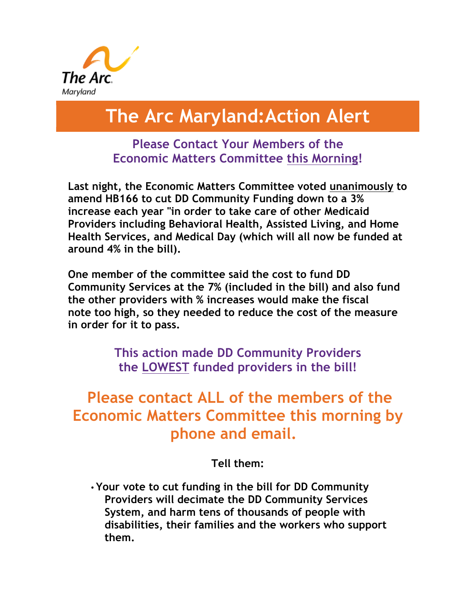

# **The Arc Maryland:Action Alert**

## **Please Contact Your Members of the Economic Matters Committee this Morning!**

**Last night, the Economic Matters Committee voted unanimously to amend HB166 to cut DD Community Funding down to a 3% increase each year "in order to take care of other Medicaid Providers including Behavioral Health, Assisted Living, and Home Health Services, and Medical Day (which will all now be funded at around 4% in the bill).** 

**One member of the committee said the cost to fund DD Community Services at the 7% (included in the bill) and also fund the other providers with % increases would make the fiscal note too high, so they needed to reduce the cost of the measure in order for it to pass.**

> **This action made DD Community Providers the LOWEST funded providers in the bill!**

# **Please contact ALL of the members of the Economic Matters Committee this morning by phone and email.**

#### **Tell them:**

• **Your vote to cut funding in the bill for DD Community Providers will decimate the DD Community Services System, and harm tens of thousands of people with disabilities, their families and the workers who support them.**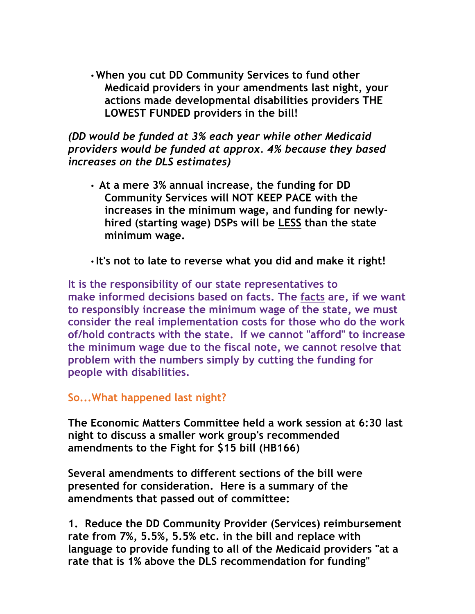• **When you cut DD Community Services to fund other Medicaid providers in your amendments last night, your actions made developmental disabilities providers THE LOWEST FUNDED providers in the bill!**

*(DD would be funded at 3% each year while other Medicaid providers would be funded at approx. 4% because they based increases on the DLS estimates)*

• **At a mere 3% annual increase, the funding for DD Community Services will NOT KEEP PACE with the increases in the minimum wage, and funding for newlyhired (starting wage) DSPs will be LESS than the state minimum wage.**

• **It's not to late to reverse what you did and make it right!**

**It is the responsibility of our state representatives to make informed decisions based on facts. The facts are, if we want to responsibly increase the minimum wage of the state, we must consider the real implementation costs for those who do the work of/hold contracts with the state. If we cannot "afford" to increase the minimum wage due to the fiscal note, we cannot resolve that problem with the numbers simply by cutting the funding for people with disabilities.** 

**So...What happened last night?**

**The Economic Matters Committee held a work session at 6:30 last night to discuss a smaller work group's recommended amendments to the Fight for \$15 bill (HB166)**

**Several amendments to different sections of the bill were presented for consideration. Here is a summary of the amendments that passed out of committee:**

**1. Reduce the DD Community Provider (Services) reimbursement rate from 7%, 5.5%, 5.5% etc. in the bill and replace with language to provide funding to all of the Medicaid providers "at a rate that is 1% above the DLS recommendation for funding"**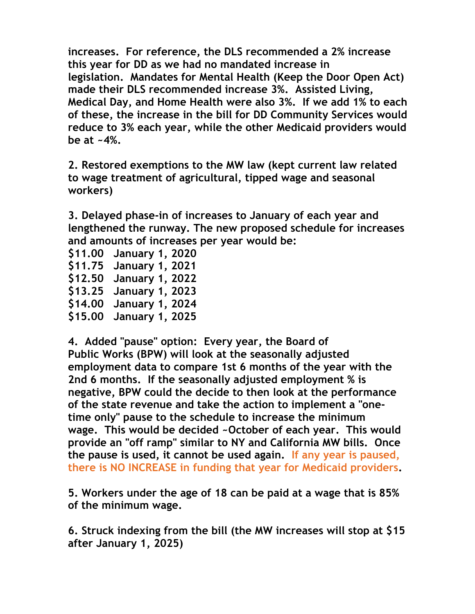**increases. For reference, the DLS recommended a 2% increase this year for DD as we had no mandated increase in legislation. Mandates for Mental Health (Keep the Door Open Act) made their DLS recommended increase 3%. Assisted Living, Medical Day, and Home Health were also 3%. If we add 1% to each of these, the increase in the bill for DD Community Services would reduce to 3% each year, while the other Medicaid providers would be at ~4%.**

**2. Restored exemptions to the MW law (kept current law related to wage treatment of agricultural, tipped wage and seasonal workers)**

**3. Delayed phase-in of increases to January of each year and lengthened the runway. The new proposed schedule for increases and amounts of increases per year would be:**

**\$11.00 January 1, 2020 \$11.75 January 1, 2021 \$12.50 January 1, 2022 \$13.25 January 1, 2023 \$14.00 January 1, 2024 \$15.00 January 1, 2025**

**4. Added "pause" option: Every year, the Board of Public Works (BPW) will look at the seasonally adjusted employment data to compare 1st 6 months of the year with the 2nd 6 months. If the seasonally adjusted employment % is negative, BPW could the decide to then look at the performance of the state revenue and take the action to implement a "onetime only" pause to the schedule to increase the minimum wage. This would be decided ~October of each year. This would provide an "off ramp" similar to NY and California MW bills. Once the pause is used, it cannot be used again. If any year is paused, there is NO INCREASE in funding that year for Medicaid providers.**

**5. Workers under the age of 18 can be paid at a wage that is 85% of the minimum wage.**

**6. Struck indexing from the bill (the MW increases will stop at \$15 after January 1, 2025)**